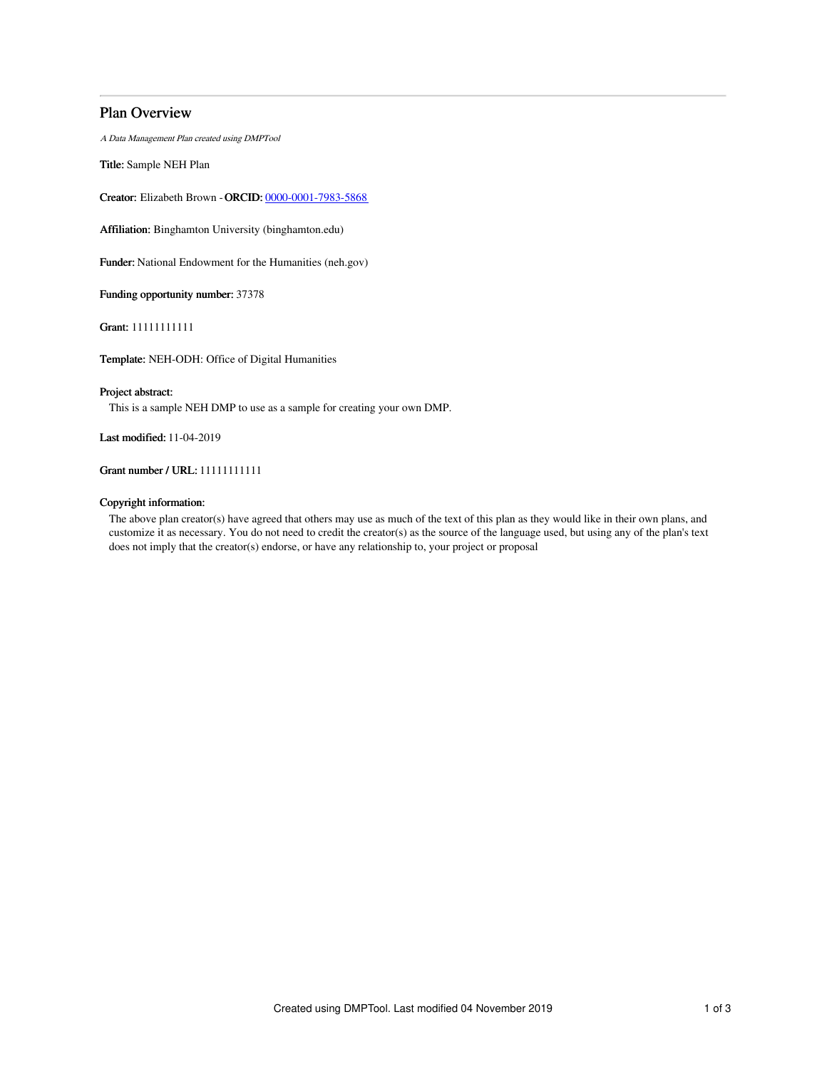# Plan Overview

A Data Management Plan created using DMPTool

Title: Sample NEH Plan

Creator: Elizabeth Brown -ORCID: [0000-0001-7983-5868](https://orcid.org/0000-0001-7983-5868)

Affiliation: Binghamton University (binghamton.edu)

Funder: National Endowment for the Humanities (neh.gov)

Funding opportunity number: 37378

Grant: 11111111111

Template: NEH-ODH: Office of Digital Humanities

## Project abstract:

This is a sample NEH DMP to use as a sample for creating your own DMP.

Last modified: 11-04-2019

## Grant number / URL: 11111111111

## Copyright information:

The above plan creator(s) have agreed that others may use as much of the text of this plan as they would like in their own plans, and customize it as necessary. You do not need to credit the creator(s) as the source of the language used, but using any of the plan's text does not imply that the creator(s) endorse, or have any relationship to, your project or proposal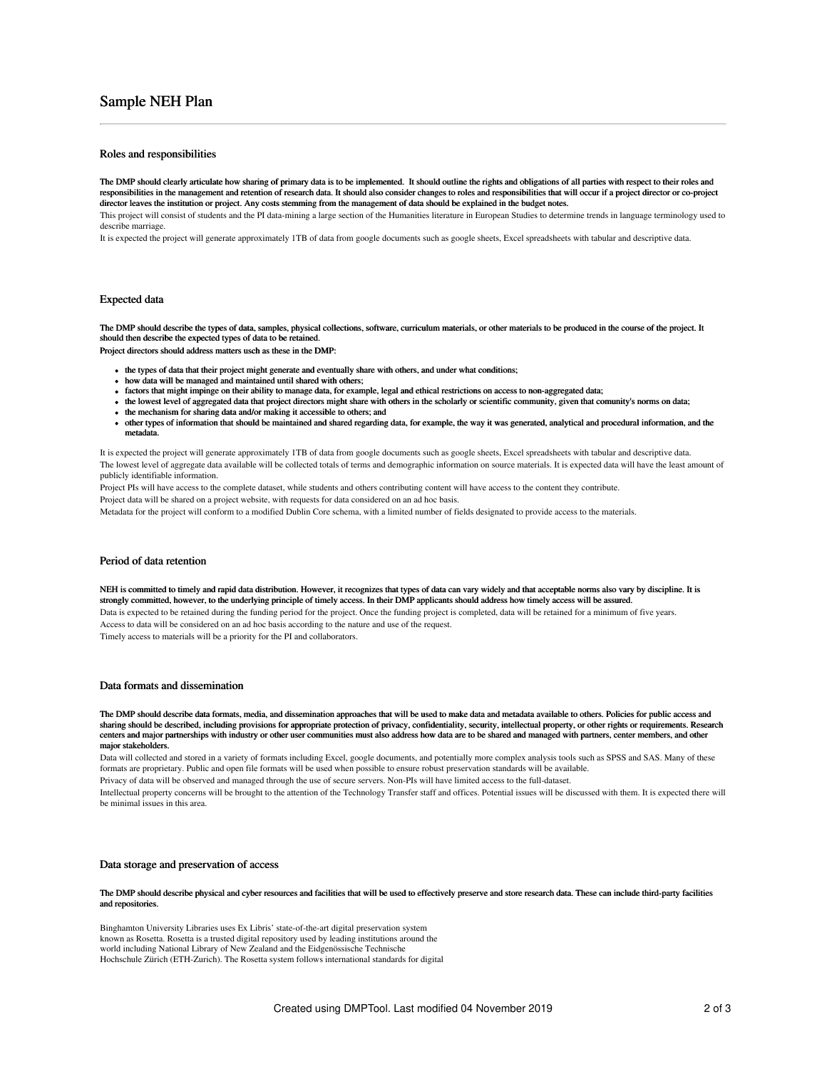# Sample NEH Plan

### Roles and responsibilities

The DMP should clearly articulate how sharing of primary data is to be implemented. It should outline the rights and obligations of all parties with respect to their roles and responsibilities in the management and retention of research data. It should also consider changes to roles and responsibilities that will occur if a project director or co-project director leaves the institution or project. Any costs stemming from the management of data should be explained in the budget notes.

This project will consist of students and the PI data-mining a large section of the Humanities literature in European Studies to determine trends in language terminology used to describe marriage.

It is expected the project will generate approximately 1TB of data from google documents such as google sheets, Excel spreadsheets with tabular and descriptive data.

### Expected data

The DMP should describe the types of data, samples, physical collections, software, curriculum materials, or other materials to be produced in the course of the project. It should then describe the expected types of data to be retained.

Project directors should address matters usch as these in the DMP:

- the types of data that their project might generate and eventually share with others, and under what conditions;
- how data will be managed and maintained until shared with others;
- factors that might impinge on their ability to manage data, for example, legal and ethical restrictions on access to non-aggregated data;
- the lowest level of aggregated data that project directors might share with others in the scholarly or scientific community, given that comunity's norms on data;
- the mechanism for sharing data and/or making it accessible to others; and
- other types of information that should be maintained and shared regarding data, for example, the way it was generated, analytical and procedural information, and the metadata.

It is expected the project will generate approximately 1TB of data from google documents such as google sheets, Excel spreadsheets with tabular and descriptive data. The lowest level of aggregate data available will be collected totals of terms and demographic information on source materials. It is expected data will have the least amount of publicly identifiable information.

Project PIs will have access to the complete dataset, while students and others contributing content will have access to the content they contribute.

Project data will be shared on a project website, with requests for data considered on an ad hoc basis.

Metadata for the project will conform to a modified Dublin Core schema, with a limited number of fields designated to provide access to the materials.

## Period of data retention

NEH is committed to timely and rapid data distribution. However, it recognizes that types of data can vary widely and that acceptable norms also vary by discipline. It is strongly committed, however, to the underlying principle of timely access. In their DMP applicants should address how timely access will be assured. Data is expected to be retained during the funding period for the project. Once the funding project is completed, data will be retained for a minimum of five years. Access to data will be considered on an ad hoc basis according to the nature and use of the request. Timely access to materials will be a priority for the PI and collaborators.

## Data formats and dissemination

The DMP should describe data formats, media, and dissemination approaches that will be used to make data and metadata available to others. Policies for public access and sharing should be described, including provisions for appropriate protection of privacy, confidentiality, security, intellectual property, or other rights or requirements. Research centers and major partnerships with industry or other user communities must also address how data are to be shared and managed with partners, center members, and other major stakeholders.

Data will collected and stored in a variety of formats including Excel, google documents, and potentially more complex analysis tools such as SPSS and SAS. Many of these formats are proprietary. Public and open file formats will be used when possible to ensure robust preservation standards will be available.

Privacy of data will be observed and managed through the use of secure servers. Non-PIs will have limited access to the full-dataset.

Intellectual property concerns will be brought to the attention of the Technology Transfer staff and offices. Potential issues will be discussed with them. It is expected there will be minimal issues in this area.

### Data storage and preservation of access

#### The DMP should describe physical and cyber resources and facilities that will be used to effectively preserve and store research data. These can include third-party facilities and repositories.

Binghamton University Libraries uses Ex Libris' state-of-the-art digital preservation system known as Rosetta. Rosetta is a trusted digital repository used by leading institutions around the world including National Library of New Zealand and the Eidgenössische Technische Hochschule Zürich (ETH-Zurich). The Rosetta system follows international standards for digital